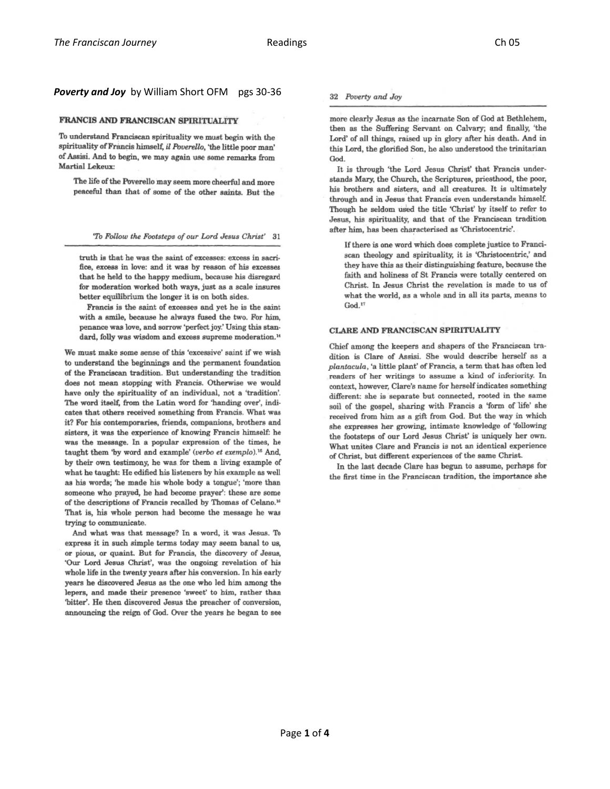### **Poverty and Joy** by William Short OFM pgs 30-36

### FRANCIS AND FRANCISCAN SPIRITUALITY

To understand Franciscan spirituality we must begin with the spirituality of Francis himself, il Poverello, 'the little poor man' of Assisi. And to begin, we may again use some remarks from Martial Lekeux:

The life of the Poverello may seem more cheerful and more peaceful than that of some of the other saints. But the

"To Follow the Footsteps of our Lord Jesus Christ" 31

truth is that he was the saint of excesses: excess in sacrifice, excess in love: and it was by reason of his excesses that he held to the happy medium, because his disregard for moderation worked both ways, just as a scale insures better equilibrium the longer it is on both sides.

Francis is the saint of excesses and yet he is the saint with a smile, because he always fused the two. For him, penance was love, and sorrow 'perfect joy.' Using this standard, folly was wisdom and excess supreme moderation.<sup>14</sup>

We must make some sense of this 'excessive' saint if we wish to understand the beginnings and the permanent foundation of the Franciscan tradition. But understanding the tradition does not mean stopping with Francis. Otherwise we would have only the spirituality of an individual, not a 'tradition'. The word itself, from the Latin word for 'handing over', indicates that others received something from Francis. What was it? For his contemporaries, friends, companions, brothers and sisters, it was the experience of knowing Francis himself: he was the message. In a popular expression of the times, he taught them 'by word and example' (verbo et exemplo).<sup>15</sup> And, by their own testimony, he was for them a living example of what he taught: He edified his listeners by his example as well as his words; 'he made his whole body a tongue'; 'more than someone who prayed, he had become prayer': these are some of the descriptions of Francis recalled by Thomas of Celano.<sup>16</sup> That is, his whole person had become the message he was trying to communicate.

And what was that message? In a word, it was Jesus. To express it in such simple terms today may seem banal to us, or pious, or quaint. But for Francis, the discovery of Jesus, 'Our Lord Jesus Christ', was the ongoing revelation of his whole life in the twenty years after his conversion. In his early years he discovered Jesus as the one who led him among the lepers, and made their presence 'sweet' to him, rather than 'bitter'. He then discovered Jesus the preacher of conversion, announcing the reign of God. Over the years he began to see

#### 32 Poverty and Joy

more clearly Jesus as the incarnate Son of God at Bethlehem, then as the Suffering Servant on Calvary; and finally, 'the Lord' of all things, raised up in glory after his death. And in this Lord, the glorified Son, he also understood the trinitarian God

It is through 'the Lord Jesus Christ' that Francis understands Mary, the Church, the Scriptures, priesthood, the poor, his brothers and sisters, and all creatures. It is ultimately through and in Jesus that Francis even understands himself. Though he seldom used the title 'Christ' by itself to refer to Jesus, his spirituality, and that of the Franciscan tradition after him, has been characterised as 'Christocentric'.

If there is one word which does complete justice to Franciscan theology and spirituality, it is 'Christocentric,' and they have this as their distinguishing feature, because the faith and holiness of St Francis were totally centered on Christ. In Jesus Christ the revelation is made to us of what the world, as a whole and in all its parts, means to God $17$ 

#### CLARE AND FRANCISCAN SPIRITUALITY

Chief among the keepers and shapers of the Franciscan tradition is Clare of Assisi. She would describe herself as a plantacula, 'a little plant' of Francis, a term that has often led readers of her writings to assume a kind of inferiority. In context, however, Clare's name for herself indicates something different: she is separate but connected, rooted in the same soil of the gospel, sharing with Francis a 'form of life' she received from him as a gift from God. But the way in which she expresses her growing, intimate knowledge of 'following the footsteps of our Lord Jesus Christ' is uniquely her own. What unites Clare and Francis is not an identical experience of Christ, but different experiences of the same Christ.

In the last decade Clare has begun to assume, perhaps for the first time in the Franciscan tradition, the importance she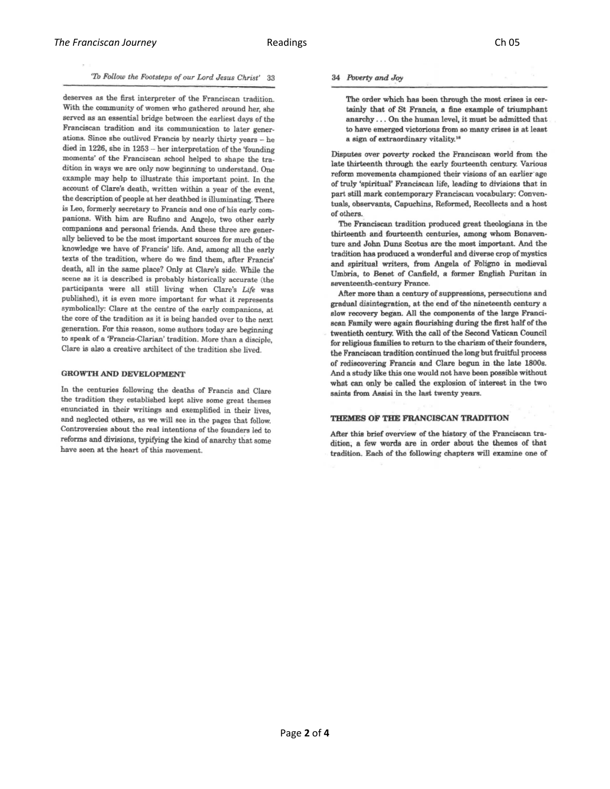"To Follow the Footsteps of our Lord Jesus Christ' 33

deserves as the first interpreter of the Franciscan tradition. With the community of women who gathered around her, she served as an essential bridge between the earliest days of the Franciscan tradition and its communication to later generations. Since she outlived Francis by nearly thirty years - he died in 1226, she in 1253 - her interpretation of the 'founding moments' of the Franciscan school helped to shape the tradition in ways we are only now beginning to understand. One example may help to illustrate this important point. In the account of Clare's death, written within a year of the event, the description of people at her deathbed is illuminating. There is Leo, formerly secretary to Francis and one of his early companions. With him are Rufino and Angelo, two other early companions and personal friends. And these three are generally believed to be the most important sources for much of the knowledge we have of Francis' life. And, among all the early texts of the tradition, where do we find them, after Francis' death, all in the same place? Only at Clare's side. While the scene as it is described is probably historically accurate (the participants were all still living when Clare's Life was published), it is even more important for what it represents symbolically: Clare at the centre of the early companions, at the core of the tradition as it is being handed over to the next generation. For this reason, some authors today are beginning to speak of a 'Francis-Clarian' tradition. More than a disciple, Clare is also a creative architect of the tradition she lived.

#### GROWTH AND DEVELOPMENT

In the centuries following the deaths of Francis and Clare the tradition they established kept alive some great themes enunciated in their writings and exemplified in their lives, and neglected others, as we will see in the pages that follow. Controversies about the real intentions of the founders led to reforms and divisions, typifying the kind of anarchy that some have seen at the heart of this movement.

#### 34 Poverty and Joy

The order which has been through the most crises is certainly that of St Francis, a fine example of triumphant anarchy... On the human level, it must be admitted that to have emerged victorious from so many crises is at least a sign of extraordinary vitality.<sup>18</sup>

Disputes over poverty rocked the Franciscan world from the late thirteenth through the early fourteenth century. Various reform movements championed their visions of an earlier age of truly 'spiritual' Franciscan life, leading to divisions that in part still mark contemporary Franciscan vocabulary: Conventuals, observants, Capuchins, Reformed, Recollects and a host of others.

The Franciscan tradition produced great theologians in the thirteenth and fourteenth centuries, among whom Bonaventure and John Duns Scotus are the most important. And the tradition has produced a wonderful and diverse crop of mystics and spiritual writers, from Angela of Foligno in medieval Umbria, to Benet of Canfield, a former English Puritan in seventeenth-century France.

After more than a century of suppressions, persecutions and gradual disintegration, at the end of the nineteenth century a slow recovery began. All the components of the large Franciscan Family were again flourishing during the first half of the twentieth century. With the call of the Second Vatican Council for religious families to return to the charism of their founders, the Franciscan tradition continued the long but fruitful process of rediscovering Francis and Clare begun in the late 1800s. And a study like this one would not have been possible without what can only be called the explosion of interest in the two saints from Assisi in the last twenty years.

### THEMES OF THE FRANCISCAN TRADITION

After this brief overview of the history of the Franciscan tradition, a few words are in order about the themes of that tradition. Each of the following chapters will examine one of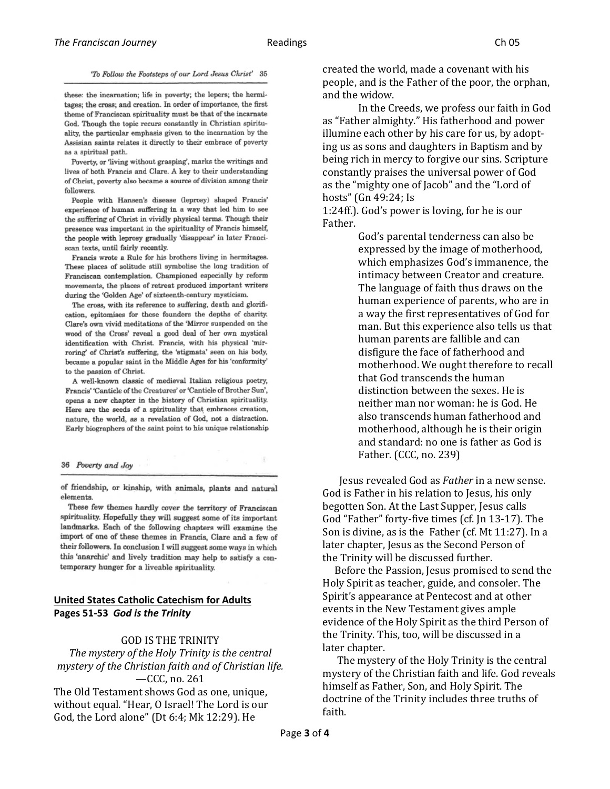'To Follow the Footsteps of our Lord Jesus Christ' 35

these: the incarnation; life in poverty; the lepers; the hermitages; the cross; and creation. In order of importance, the first theme of Franciscan spirituality must be that of the incarnate God. Though the topic recurs constantly in Christian spirituality, the particular emphasis given to the incarnation by the Assisian saints relates it directly to their embrace of poverty as a spiritual path.

Poverty, or 'living without grasping', marks the writings and lives of both Francis and Clare. A key to their understanding of Christ, poverty also became a source of division among their followers.

People with Hansen's disease (leprosy) shaped Francis' experience of human suffering in a way that led him to see the suffering of Christ in vividly physical terms. Though their presence was important in the spirituality of Francis himself, the people with leprosy gradually 'disappear' in later Franciscan texts, until fairly recently.

Francis wrote a Rule for his brothers living in hermitages. These places of solitude still symbolise the long tradition of Franciscan contemplation. Championed especially by reform movements, the places of retreat produced important writers during the 'Golden Age' of sixteenth-century mysticism.

The cross, with its reference to suffering, death and glorification, epitomises for these founders the depths of charity. Clare's own vivid meditations of the 'Mirror suspended on the wood of the Cross' reveal a good deal of her own mystical identification with Christ. Francis, with his physical 'mirroring' of Christ's suffering, the 'stigmata' seen on his body, became a popular saint in the Middle Ages for his 'conformity' to the passion of Christ.

A well-known classic of medieval Italian religious poetry, Francis' 'Canticle of the Creatures' or 'Canticle of Brother Sun', opens a new chapter in the history of Christian spirituality. Here are the seeds of a spirituality that embraces creation, nature, the world, as a revelation of God, not a distraction. Early biographers of the saint point to his unique relationship

#### 36 Poverty and Joy

of friendship, or kinship, with animals, plants and natural elements.

These few themes hardly cover the territory of Franciscan spirituality. Hopefully they will suggest some of its important landmarks. Each of the following chapters will examine the import of one of these themes in Francis, Clare and a few of their followers. In conclusion I will suggest some ways in which this 'anarchic' and lively tradition may help to satisfy a contemporary hunger for a liveable spirituality.

## **United States Catholic Catechism for Adults Pages 51-53** *God is the Trinity*

### GOD IS THE TRINITY

*The mystery of the Holy Trinity is the central mystery of the Christian faith and of Christian life.* —CCC, no. 261

The Old Testament shows God as one, unique, without equal. "Hear, O Israel! The Lord is our God, the Lord alone" (Dt 6:4; Mk 12:29). He

created the world, made a covenant with his people, and is the Father of the poor, the orphan, and the widow.

In the Creeds, we profess our faith in God as "Father almighty." His fatherhood and power illumine each other by his care for us, by adopting us as sons and daughters in Baptism and by being rich in mercy to forgive our sins. Scripture constantly praises the universal power of God as the "mighty one of Jacob" and the "Lord of hosts" (Gn 49:24; Is

1:24ff.). God's power is loving, for he is our Father.

> God's parental tenderness can also be expressed by the image of motherhood, which emphasizes God's immanence, the intimacy between Creator and creature. The language of faith thus draws on the human experience of parents, who are in a way the first representatives of God for man. But this experience also tells us that human parents are fallible and can disfigure the face of fatherhood and motherhood. We ought therefore to recall that God transcends the human distinction between the sexes. He is neither man nor woman: he is God. He also transcends human fatherhood and motherhood, although he is their origin and standard: no one is father as God is Father. (CCC, no. 239)

 Jesus revealed God as *Father* in a new sense. God is Father in his relation to Jesus, his only begotten Son. At the Last Supper, Jesus calls God "Father" forty-five times (cf. Jn 13-17). The Son is divine, as is the Father (cf. Mt 11:27). In a later chapter, Jesus as the Second Person of the Trinity will be discussed further.

 Before the Passion, Jesus promised to send the Holy Spirit as teacher, guide, and consoler. The Spirit's appearance at Pentecost and at other events in the New Testament gives ample evidence of the Holy Spirit as the third Person of the Trinity. This, too, will be discussed in a later chapter.

 The mystery of the Holy Trinity is the central mystery of the Christian faith and life. God reveals himself as Father, Son, and Holy Spirit. The doctrine of the Trinity includes three truths of faith.